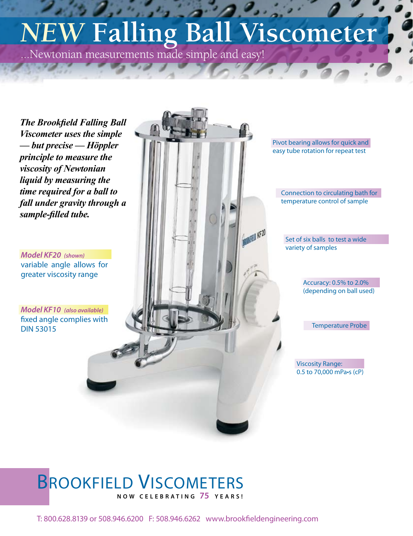# *NEW* **Falling Ball Viscometer**

...Newtonian measurements made simple and easy!

*The Brookfield Falling Ball Viscometer uses the simple — but precise — Höppler principle to measure the viscosity of Newtonian liquid by measuring the time required for a ball to fall under gravity through a sample-filled tube.*

*Model KF20 (shown)* variable angle allows for greater viscosity range

*Model KF10 (also available)* fixed angle complies with DIN 53015

Pivot bearing allows for quick and easy tube rotation for repeat test

Connection to circulating bath for temperature control of sample

Set of six balls to test a wide variety of samples

> Accuracy: 0.5% to 2.0% (depending on ball used)

> > Temperature Probe

Viscosity Range: 0.5 to 70,000 mPa•s (cP)

## BROOKFIELD VISCOMETERS **N O W C E L E B R A T I N G 75 Y E A R S !**

T: 800.628.8139 or 508.946.6200 F: 508.946.6262 www.brookfieldengineering.com